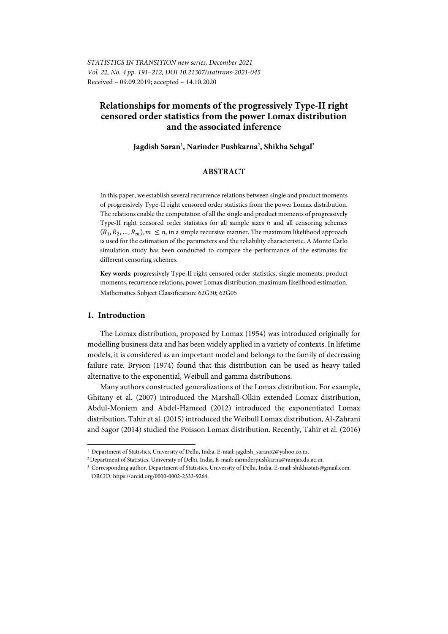# **Relationships for moments of the progressively Type-II right censored order statistics from the power Lomax distribution and the associated inference**

### **Jagdish Saran**<sup>1</sup> **, Narinder Pushkarna**<sup>2</sup> **, Shikha Sehgal**<sup>3</sup>

### **ABSTRACT**

In this paper, we establish several recurrence relations between single and product moments of progressively Type-II right censored order statistics from the power Lomax distribution. The relations enable the computation of all the single and product moments of progressively Type-II right censored order statistics for all sample sizes  $n$  and all censoring schemes  $(R_1, R_2, ..., R_m)$ ,  $m \leq n$ , in a simple recursive manner. The maximum likelihood approach is used for the estimation of the parameters and the reliability characteristic. A Monte Carlo simulation study has been conducted to compare the performance of the estimates for different censoring schemes.

**Key words**: progressively Type-II right censored order statistics, single moments, product moments, recurrence relations, power Lomax distribution, maximum likelihood estimation. Mathematics Subject Classification: 62G30; 62G05

#### **1. Introduction**

l

The Lomax distribution, proposed by Lomax (1954) was introduced originally for modelling business data and has been widely applied in a variety of contexts. In lifetime models, it is considered as an important model and belongs to the family of decreasing failure rate. Bryson (1974) found that this distribution can be used as heavy tailed alternative to the exponential, Weibull and gamma distributions.

Many authors constructed generalizations of the Lomax distribution. For example, Ghitany et al. (2007) introduced the Marshall-Olkin extended Lomax distribution, Abdul-Moniem and Abdel-Hameed (2012) introduced the exponentiated Lomax distribution, Tahir et al. (2015) introduced the Weibull Lomax distribution, Al-Zahrani and Sagor (2014) studied the Poisson Lomax distribution. Recently, Tahir et al. (2016)

<sup>&</sup>lt;sup>1</sup> Department of Statistics, University of Delhi, India. E-mail: jagdish\_saran52@yahoo.co.in.<br><sup>2</sup> Department of Statistics, University of Delhi, India. E-mail: narinderpushkarna@ramjas.du.ac.in.<br><sup>3</sup> Corresponding author, ORCID: https://orcid.org/0000-0002-2333-9264.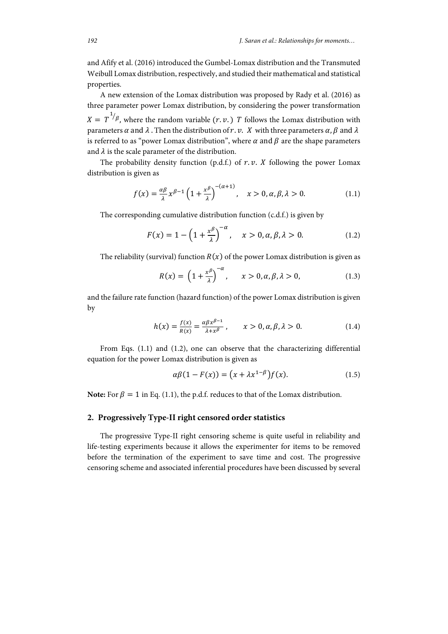and Afify et al. (2016) introduced the Gumbel-Lomax distribution and the Transmuted Weibull Lomax distribution, respectively, and studied their mathematical and statistical properties.

A new extension of the Lomax distribution was proposed by Rady et al. (2016) as three parameter power Lomax distribution, by considering the power transformation  $X = T^{1/\beta}$ , where the random variable  $(r.v.)$  T follows the Lomax distribution with parameters  $\alpha$  and  $\lambda$ . Then the distribution of r. v. X with three parameters  $\alpha$ ,  $\beta$  and  $\lambda$ is referred to as "power Lomax distribution", where  $\alpha$  and  $\beta$  are the shape parameters and  $\lambda$  is the scale parameter of the distribution.

The probability density function (p.d.f.) of  $r.v.$  *X* following the power Lomax distribution is given as

$$
f(x) = \frac{\alpha \beta}{\lambda} x^{\beta - 1} \left( 1 + \frac{x^{\beta}}{\lambda} \right)^{-(\alpha + 1)}, \quad x > 0, \alpha, \beta, \lambda > 0.
$$
 (1.1)

The corresponding cumulative distribution function (c.d.f.) is given by

$$
F(x) = 1 - \left(1 + \frac{x^{\beta}}{\lambda}\right)^{-\alpha}, \quad x > 0, \alpha, \beta, \lambda > 0.
$$
 (1.2)

The reliability (survival) function  $R(x)$  of the power Lomax distribution is given as

$$
R(x) = \left(1 + \frac{x^{\beta}}{\lambda}\right)^{-\alpha}, \qquad x > 0, \alpha, \beta, \lambda > 0,
$$
\n(1.3)

and the failure rate function (hazard function) of the power Lomax distribution is given by

$$
h(x) = \frac{f(x)}{R(x)} = \frac{\alpha \beta x^{\beta - 1}}{\lambda + x^{\beta}}, \qquad x > 0, \alpha, \beta, \lambda > 0.
$$
 (1.4)

From Eqs. (1.1) and (1.2), one can observe that the characterizing differential equation for the power Lomax distribution is given as

$$
\alpha\beta(1 - F(x)) = \left(x + \lambda x^{1-\beta}\right)f(x). \tag{1.5}
$$

**Note:** For  $\beta = 1$  in Eq. (1.1), the p.d.f. reduces to that of the Lomax distribution.

#### **2. Progressively Type-II right censored order statistics**

The progressive Type-II right censoring scheme is quite useful in reliability and life-testing experiments because it allows the experimenter for items to be removed before the termination of the experiment to save time and cost. The progressive censoring scheme and associated inferential procedures have been discussed by several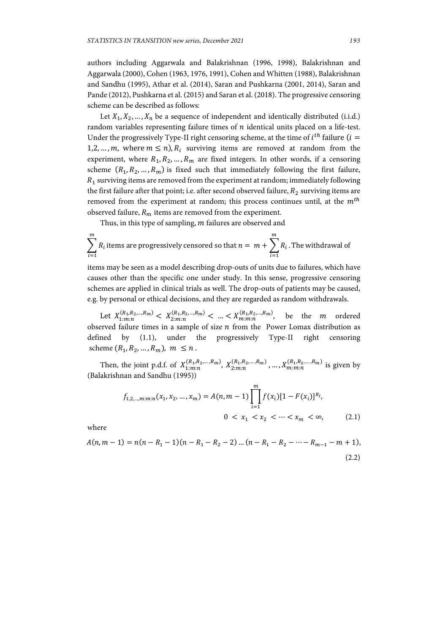authors including Aggarwala and Balakrishnan (1996, 1998), Balakrishnan and Aggarwala (2000), Cohen (1963, 1976, 1991), Cohen and Whitten (1988), Balakrishnan and Sandhu (1995), Athar et al. (2014), Saran and Pushkarna (2001, 2014), Saran and Pande (2012), Pushkarna et al. (2015) and Saran et al. (2018). The progressive censoring scheme can be described as follows:

Let  $X_1, X_2, ..., X_n$  be a sequence of independent and identically distributed (i.i.d.) random variables representing failure times of  $n$  identical units placed on a life-test. Under the progressively Type-II right censoring scheme, at the time of  $i^{th}$  failure ( $i =$ 1,2, ..., m, where  $m \le n$ ),  $R_i$  surviving items are removed at random from the experiment, where  $R_1, R_2, ..., R_m$  are fixed integers. In other words, if a censoring scheme  $(R_1, R_2, ..., R_m)$  is fixed such that immediately following the first failure,  $R_1$  surviving items are removed from the experiment at random; immediately following the first failure after that point; i.e. after second observed failure,  $R_2$  surviving items are removed from the experiment at random; this process continues until, at the  $m^{th}$ observed failure,  $R_m$  items are removed from the experiment.

Thus, in this type of sampling,  $m$  failures are observed and

$$
\sum_{i=1}^{m} R_i
$$
 items are progressively censored so that  $n = m + \sum_{i=1}^{m} R_i$ . The withdrawal of

items may be seen as a model describing drop-outs of units due to failures, which have causes other than the specific one under study. In this sense, progressive censoring schemes are applied in clinical trials as well. The drop-outs of patients may be caused, e.g. by personal or ethical decisions, and they are regarded as random withdrawals.

Let  $X_{1:m:n}^{(R_1, R_2, ..., R_m)} < X_{2:m:n}^{(R_1, R_2, ..., R_m)} < ... < X_{m:m:n}^{(R_1, R_2, ..., R_m)}$ , be the *m* ordered observed failure times in a sample of size  $n$  from the Power Lomax distribution as defined by (1.1), under the progressively Type-II right censoring scheme  $(R_1, R_2, ..., R_m)$ ,  $m \leq n$ .

Then, the joint p.d.f. of  $X_{1:m:n}^{(R_1,R_2,...,R_m)}$ ,  $X_{2:m:n}^{(R_1,R_2,...,R_m)}$ , ...,  $X_{m:m:n}^{(R_1,R_2,...,R_m)}$  is given by (Balakrishnan and Sandhu (1995))

$$
f_{1,2,\dots,m:m:n}(x_1, x_2, \dots, x_m) = A(n, m-1) \prod_{i=1}^m f(x_i) [1 - F(x_i)]^{R_i},
$$
  
0 < x\_1 < x\_2 < \dots < x\_m < \infty, (2.1)

where

$$
A(n, m-1) = n(n - R1 - 1)(n - R1 - R2 - 2) \dots (n - R1 - R2 - \dots - Rm-1 - m + 1),
$$
\n(2.2)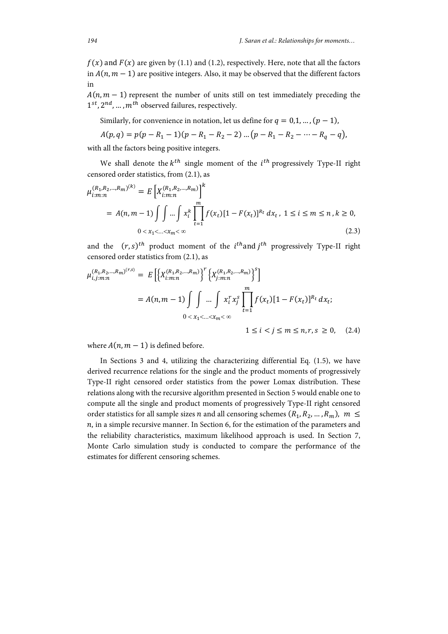$f(x)$  and  $F(x)$  are given by (1.1) and (1.2), respectively. Here, note that all the factors in  $A(n, m - 1)$  are positive integers. Also, it may be observed that the different factors in

 $A(n, m - 1)$  represent the number of units still on test immediately preceding the  $1^{st}$ ,  $2^{nd}$ , ...,  $m^{th}$  observed failures, respectively.

Similarly, for convenience in notation, let us define for  $q = 0,1, ..., (p-1)$ ,

$$
A(p,q) = p(p - R_1 - 1)(p - R_1 - R_2 - 2) \dots (p - R_1 - R_2 - \dots - R_q - q),
$$

with all the factors being positive integers.

We shall denote the  $k^{th}$  single moment of the  $i^{th}$  progressively Type-II right censored order statistics, from (2.1), as

$$
\mu_{i:m:n}^{(R_1, R_2, \dots, R_m)^{(k)}} = E\left[X_{i:m:n}^{(R_1, R_2, \dots, R_m)}\right]^k
$$
  
=  $A(n, m - 1) \int \int \dots \int x_i^k \prod_{t=1}^m f(x_t) [1 - F(x_t)]^{R_t} dx_t, 1 \le i \le m \le n, k \ge 0,$   
 $0 < x_1 < \dots < x_m < \infty$  (2.3)

and the  $(r, s)^{th}$  product moment of the  $i^{th}$  and  $j^{th}$  progressively Type-II right censored order statistics from (2.1), as

$$
\mu_{i,j:m:n}^{(R_1, R_2, \dots, R_m)^{(r,s)}} = E\left[\left\{X_{i:m:n}^{(R_1, R_2, \dots, R_m)}\right\}^r \left\{X_{j:m:n}^{(R_1, R_2, \dots, R_m)}\right\}^s\right]
$$
  
=  $A(n, m - 1) \int \int \dots \int x_i^r x_j^s \prod_{t=1}^m f(x_t) [1 - F(x_t)]^{R_t} dx_t;$   
 $0 < x_1 < \dots < x_m < \infty$   
 $1 \le i < j \le m \le n, r, s \ge 0$ , (2.4)

where  $A(n, m - 1)$  is defined before.

In Sections 3 and 4, utilizing the characterizing differential Eq. (1.5), we have derived recurrence relations for the single and the product moments of progressively Type-II right censored order statistics from the power Lomax distribution. These relations along with the recursive algorithm presented in Section 5 would enable one to compute all the single and product moments of progressively Type-II right censored order statistics for all sample sizes *n* and all censoring schemes  $(R_1, R_2, ..., R_m)$ ,  $m \leq$  $n$ , in a simple recursive manner. In Section 6, for the estimation of the parameters and the reliability characteristics, maximum likelihood approach is used. In Section 7, Monte Carlo simulation study is conducted to compare the performance of the estimates for different censoring schemes.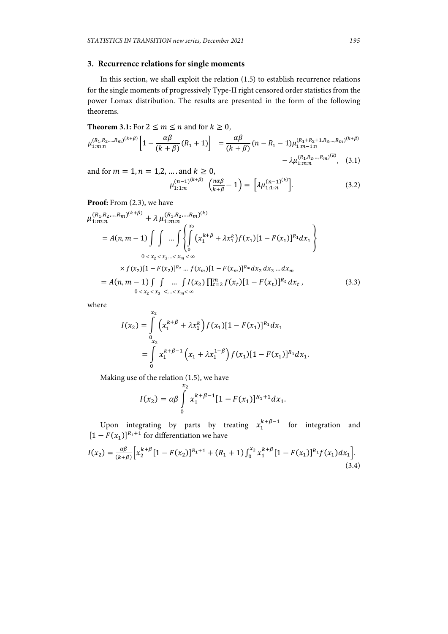## **3. Recurrence relations for single moments**

In this section, we shall exploit the relation (1.5) to establish recurrence relations for the single moments of progressively Type-II right censored order statistics from the power Lomax distribution. The results are presented in the form of the following theorems.

**Theorem 3.1:** For  $2 \le m \le n$  and for  $k \ge 0$ ,  $\mu_{1:m:n}^{(R_1,R_2,...,R_m)^{(k+\beta)}} \left[1 - \frac{\alpha\beta}{(k+\beta)}(R_1+1)\right] = \frac{\alpha\beta}{(k+\beta)}(n-R_1-1)\mu_{1:m-1:n}^{(R_1+R_2+1,R_3,...,R_m)^{(k+\beta)}}$  $-\lambda \mu_{1:m:n}^{(R_1,R_2,...,R_m)^{(k)}}$ , (3.1)

and for  $m = 1, n = 1, 2, ...$  and  $k \ge 0$ ,

$$
\mu_{1:1:n}^{(n-1)^{(k+\beta)}}\left(\frac{n\alpha\beta}{k+\beta}-1\right) = \left[\lambda\mu_{1:1:n}^{(n-1)^{(k)}}\right].\tag{3.2}
$$

Proof: From  $(2.3)$ , we have

$$
\mu_{1:m:n}^{(R_1, R_2, \ldots, R_m)^{(k+\beta)}} + \lambda \mu_{1:m:n}^{(R_1, R_2, \ldots, R_m)^{(k)}}
$$
\n
$$
= A(n, m-1) \int \int \ldots \int \int \int_{0}^{x_2} (x_1^{k+\beta} + \lambda x_1^k) f(x_1) [1 - F(x_1)]^{R_1} dx_1
$$
\n
$$
0 < x_2 < x_3 \ldots < x_m < \infty
$$
\n
$$
\times f(x_2) [1 - F(x_2)]^{R_2} \ldots f(x_m) [1 - F(x_m)]^{R_m} dx_2 dx_3 \ldots dx_m
$$
\n
$$
= A(n, m-1) \int \int \ldots \int I(x_2) \prod_{t=2}^m f(x_t) [1 - F(x_t)]^{R_t} dx_t,
$$
\n(3.3)

where

$$
I(x_2) = \int_{0}^{x_2} \left( x_1^{k+\beta} + \lambda x_1^k \right) f(x_1) [1 - F(x_1)]^{R_1} dx_1
$$
  
= 
$$
\int_{0}^{x_2} x_1^{k+\beta-1} \left( x_1 + \lambda x_1^{1-\beta} \right) f(x_1) [1 - F(x_1)]^{R_1} dx_1.
$$

Making use of the relation (1.5), we have

$$
I(x_2) = \alpha \beta \int\limits_0^{x_2} x_1^{k+\beta-1} [1 - F(x_1)]^{R_1+1} dx_1.
$$

Upon integrating by parts by treating  $x_1^{k+\beta-1}$  for integration and  $[1 - F(x_1)]^{R_1 + 1}$  for differentiation we have

$$
I(x_2) = \frac{\alpha \beta}{(k+\beta)} \Big[ x_2^{k+\beta} \big[ 1 - F(x_2) \big]^{R_1+1} + (R_1+1) \int_0^{x_2} x_1^{k+\beta} \big[ 1 - F(x_1) \big]^{R_1} f(x_1) dx_1 \Big].
$$
\n(3.4)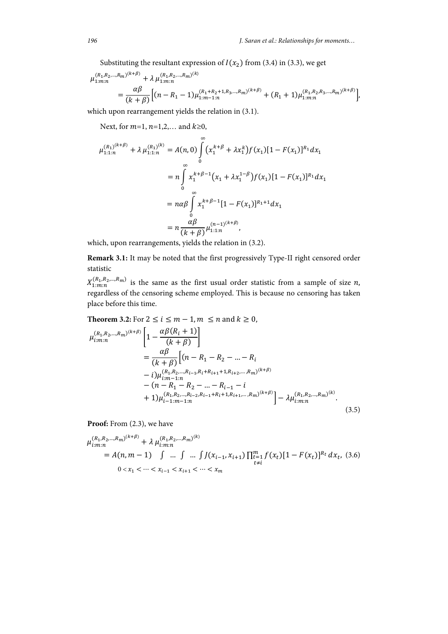Substituting the resultant expression of  $I(x_2)$  from (3.4) in (3.3), we get

$$
\mu_{1:m:n}^{(R_1, R_2, \ldots, R_m)^{(k+\beta)}} + \lambda \mu_{1:m:n}^{(R_1, R_2, \ldots, R_m)^{(k)}}
$$
\n
$$
= \frac{\alpha \beta}{(k+\beta)} \Big[ (n - R_1 - 1) \mu_{1:m-1:n}^{(R_1 + R_2 + 1, R_3, \ldots, R_m)^{(k+\beta)}} + (R_1 + 1) \mu_{1:m:n}^{(R_1, R_2, R_3, \ldots, R_m)^{(k+\beta)}} \Big],
$$

which upon rearrangement yields the relation in (3.1).

Next, for  $m=1$ ,  $n=1,2,...$  and  $k\geq 0$ ,

$$
\mu_{1:1:n}^{(R_1)^{(k+\beta)}} + \lambda \mu_{1:1:n}^{(R_1)^{(k)}} = A(n,0) \int_{0}^{\infty} (x_1^{k+\beta} + \lambda x_1^k) f(x_1) [1 - F(x_1)]^{R_1} dx_1
$$
  
\n
$$
= n \int_{0}^{\infty} x_1^{k+\beta-1} (x_1 + \lambda x_1^{1-\beta}) f(x_1) [1 - F(x_1)]^{R_1} dx_1
$$
  
\n
$$
= n \alpha \beta \int_{0}^{\infty} x_1^{k+\beta-1} [1 - F(x_1)]^{R_1+1} dx_1
$$
  
\n
$$
= n \frac{\alpha \beta}{(k+\beta)} \mu_{1:1:n}^{(n-1)^{(k+\beta)}},
$$

which, upon rearrangements, yields the relation in (3.2).

**Remark 3.1:** It may be noted that the first progressively Type-II right censored order statistic

 $X_{1:m:n}^{(R_1, R_2, ..., R_m)}$  is the same as the first usual order statistic from a sample of size n, regardless of the censoring scheme employed. This is because no censoring has taken place before this time.

**Theorem 3.2:** For  $2 \le i \le m-1$ ,  $m \le n$  and  $k \ge 0$ ,

$$
\mu_{i:m:n}^{(R_1, R_2, \ldots, R_m)^{(k+\beta)}} \left[ 1 - \frac{\alpha \beta (R_i + 1)}{(k + \beta)} \right]
$$
\n
$$
= \frac{\alpha \beta}{(k + \beta)} \left[ (n - R_1 - R_2 - \ldots - R_i - i) \mu_{i:m-1:n}^{(R_1, R_2, \ldots, R_{i-1}, R_i + R_{i+1} + 1, R_{i+2}, \ldots, R_m)^{(k+\beta)}} - (n - R_1 - R_2 - \ldots - R_{i-1} - i + 1) \mu_{i-1:m-1:n}^{(R_1, R_2, \ldots, R_{i-2}, R_{i-1} + R_i + 1, R_{i+1}, \ldots, R_m)^{(k+\beta)}} \right] - \lambda \mu_{i:m:n}^{(R_1, R_2, \ldots, R_m)^{(k)}}.
$$
\n(3.5)

Proof: From  $(2.3)$ , we have

$$
\mu_{i:m:n}^{(R_1, R_2, \ldots, R_m)^{(k+\beta)}} + \lambda \mu_{i:m:n}^{(R_1, R_2, \ldots, R_m)^{(k)}}
$$
\n
$$
= A(n, m-1) \int \ldots \int \ldots \int J(x_{i-1}, x_{i+1}) \prod_{\substack{t=1 \ t \neq i}}^m f(x_t) [1 - F(x_t)]^{R_t} dx_t, (3.6)
$$
\n
$$
0 < x_1 < \cdots < x_{i-1} < x_{i+1} < \cdots < x_m
$$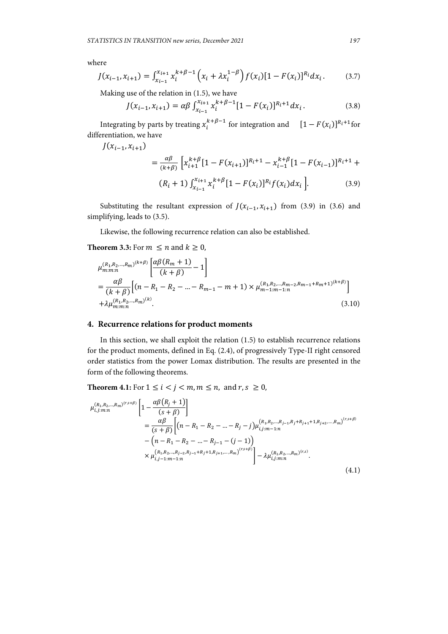where

$$
J(x_{i-1}, x_{i+1}) = \int_{x_{i-1}}^{x_{i+1}} x_i^{k+\beta-1} \left(x_i + \lambda x_i^{1-\beta}\right) f(x_i) [1 - F(x_i)]^{R_i} dx_i.
$$
 (3.7)

Making use of the relation in (1.5), we have

$$
J(x_{i-1}, x_{i+1}) = \alpha \beta \int_{x_{i-1}}^{x_{i+1}} x_i^{k+\beta-1} [1 - F(x_i)]^{R_i+1} dx_i.
$$
 (3.8)

Integrating by parts by treating  $x_i^{k+\beta-1}$  for integration and  $[1 - F(x_i)]^{R_i+1}$  for differentiation, we have

 $J(x_{i-1}, x_{i+1})$ 

$$
= \frac{\alpha \beta}{(k+\beta)} \left[ x_{i+1}^{k+\beta} [1 - F(x_{i+1})]^{R_i+1} - x_{i-1}^{k+\beta} [1 - F(x_{i-1})]^{R_i+1} + (R_i + 1) \int_{x_{i-1}}^{x_{i+1}} x_i^{k+\beta} [1 - F(x_i)]^{R_i} f(x_i) dx_i \right].
$$
\n(3.9)

Substituting the resultant expression of  $J(x_{i-1}, x_{i+1})$  from (3.9) in (3.6) and simplifying, leads to (3.5).

Likewise, the following recurrence relation can also be established.

#### **Theorem 3.3:** For  $m \le n$  and  $k \ge 0$ ,

$$
\mu_{m:m:n}^{(R_1, R_2, \ldots, R_m)^{(k+\beta)}} \left[ \frac{\alpha \beta (R_m + 1)}{(k + \beta)} - 1 \right]
$$
\n
$$
= \frac{\alpha \beta}{(k + \beta)} \left[ (n - R_1 - R_2 - \ldots - R_{m-1} - m + 1) \times \mu_{m-1:m-1:n}^{(R_1, R_2, \ldots, R_{m-2}, R_{m-1} + R_m + 1)^{(k+\beta)}} \right]
$$
\n
$$
+ \lambda \mu_{m:m:n}^{(R_1, R_2, \ldots, R_m)^{(k)}}.
$$
\n(3.10)

#### **4. Recurrence relations for product moments**

In this section, we shall exploit the relation (1.5) to establish recurrence relations for the product moments, defined in Eq. (2.4), of progressively Type-II right censored order statistics from the power Lomax distribution. The results are presented in the form of the following theorems.

**Theorem 4.1:** For  $1 \le i \le j \le m, m \le n$ , and  $r, s \ge 0$ ,

$$
\mu_{i,j:m:n}^{(R_1,R_2,\ldots,R_m)^{(r,s+\beta)}} \left[ 1 - \frac{\alpha \beta (R_j + 1)}{(s+\beta)} \right]
$$
\n
$$
= \frac{\alpha \beta}{(s+\beta)} \left[ (n - R_1 - R_2 - \ldots - R_j - j) \mu_{i,j:m-1:n}^{(R_1,R_2,\ldots,R_{j-1},R_j+R_{j+1}+1,R_{j+2},\ldots,R_m)^{(r,s+\beta)}} - (n - R_1 - R_2 - \ldots - R_{j-1} - (j-1)) \right]
$$
\n
$$
\times \mu_{i,j-1:m-1:n}^{(R_1,R_2,\ldots,R_{j-2},R_{j-1}+R_j+1,R_{j+1},\ldots,R_m)^{(r,s+\beta)}} \right] - \lambda \mu_{i,j:m:n}^{(R_1,R_2,\ldots,R_m)^{(r,s)}}.
$$
\n(4.1)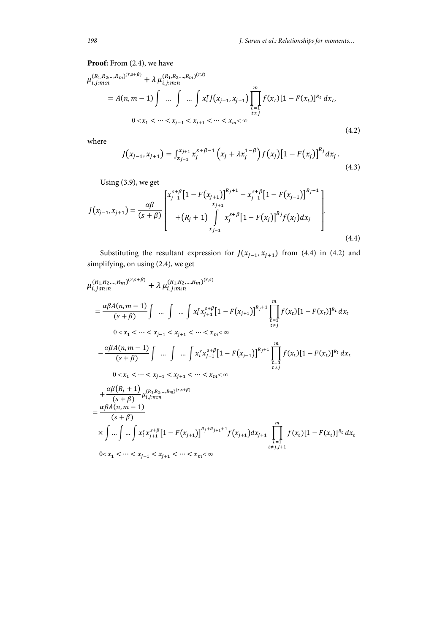## Proof: From  $(2.4)$ , we have

$$
\mu_{i,j:m:n}^{(R_1, R_2, \ldots, R_m)^{(r,s+\beta)}} + \lambda \mu_{i,j:m:n}^{(R_1, R_2, \ldots, R_m)^{(r,s)}} \n= A(n, m-1) \int \ldots \int \ldots \int x_i^r J(x_{j-1}, x_{j+1}) \prod_{\substack{t=1 \ t \neq j}}^m f(x_t) [1 - F(x_t)]^{R_t} dx_t,
$$
\n
$$
0 < x_1 < \cdots < x_{j-1} < x_{j+1} < \cdots < x_m < \infty
$$
\n
$$
(4.2)
$$

where

$$
J(x_{j-1}, x_{j+1}) = \int_{x_{j-1}}^{x_{j+1}} x_j^{s+\beta-1} \left(x_j + \lambda x_j^{1-\beta}\right) f(x_j) \left[1 - F(x_j)\right]^{R_j} dx_j.
$$
\n(4.3)

Using (3.9), we get

$$
J(x_{j-1}, x_{j+1}) = \frac{\alpha \beta}{(s+\beta)} \begin{bmatrix} x_{j+1}^{s+\beta} \left[1 - F(x_{j+1})\right]^{R_j+1} - x_{j-1}^{s+\beta} \left[1 - F(x_{j-1})\right]^{R_j+1} \\ x_{j+1} \\ + (R_j+1) \int_{x_{j-1}}^{\infty} x_j^{s+\beta} \left[1 - F(x_j)\right]^{R_j} f(x_j) dx_j \end{bmatrix} .
$$
\n(4.4)

Substituting the resultant expression for  $J(x_{j-1}, x_{j+1})$  from (4.4) in (4.2) and simplifying, on using (2.4), we get

$$
\mu_{i,j:m:n}^{(R_1, R_2, \ldots, R_m)^{(r,s+\beta)}} + \lambda \mu_{i,j:m:n}^{(R_1, R_2, \ldots, R_m)^{(r,s)}}
$$
\n
$$
= \frac{\alpha \beta A(n, m-1)}{(s+\beta)} \int \ldots \int \ldots \int x_i^r x_{j+1}^{s+\beta} [1 - F(x_{j+1})]^{R_j+1} \prod_{\substack{t=1 \\ t \neq j}}^m f(x_t) [1 - F(x_t)]^{R_t} dx_t
$$
\n
$$
0 < x_1 < \cdots < x_{j-1} < x_{j+1} < \cdots < x_m < \infty
$$
\n
$$
- \frac{\alpha \beta A(n, m-1)}{(s+\beta)} \int \ldots \int \ldots \int x_i^r x_{j-1}^{s+\beta} [1 - F(x_{j-1})]^{R_j+1} \prod_{\substack{t=1 \\ t \neq j}}^m f(x_t) [1 - F(x_t)]^{R_t} dx_t
$$
\n
$$
0 < x_1 < \cdots < x_{j-1} < x_{j+1} < \cdots < x_m < \infty
$$
\n
$$
+ \frac{\alpha \beta (R_j + 1)}{(s+\beta)} \mu_{i,j:m:n}^{(R_1, R_2, \ldots, R_m)^{(r,s+\beta)}}
$$
\n
$$
= \frac{\alpha \beta A(n, m-1)}{(s+\beta)}
$$
\n
$$
\times \int \ldots \int \ldots \int x_i^r x_{j+1}^{s+\beta} [1 - F(x_{j+1})]^{R_j+R_{j+1}+1} f(x_{j+1}) dx_{j+1} \prod_{\substack{t=1 \\ t \neq j, j+1}}^m f(x_t) [1 - F(x_t)]^{R_t} dx_t
$$
\n
$$
0 < x_1 < \cdots < x_{j-1} < x_{j+1} < \cdots < x_m < \infty
$$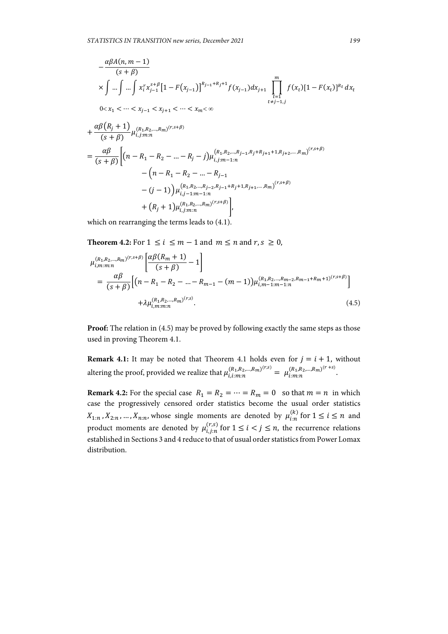$$
-\frac{\alpha\beta A(n,m-1)}{(s+\beta)}
$$
  
\n
$$
\times \int ... \int ... \int x_i^r x_{j-1}^{s+\beta} [1 - F(x_{j-1})]^{R_{j-1}+R_{j}+1} f(x_{j-1}) dx_{j+1} \prod_{t=j}^m f(x_t) [1 - F(x_t)]^{R_t} dx_t
$$
  
\n
$$
0 < x_1 < ... < x_{j-1} < x_{j+1} < ... < x_m < \infty
$$
  
\n
$$
+\frac{\alpha\beta (R_j + 1)}{(s+\beta)} \mu_{i,j:m:n}^{(R_1,R_2,...,R_m)^{(r,s+\beta)}}
$$
  
\n
$$
=\frac{\alpha\beta}{(s+\beta)} [(n - R_1 - R_2 - ... - R_j - j) \mu_{i,j:m-1:n}^{(R_1,R_2,...,R_{j-1},R_j+R_{j+1}+1,R_{j+2},...,R_m)}^{(r,s+\beta)} (n - R_1 - R_2 - ... - R_j - j) \mu_{i,j:m-1:n}^{(R_1,R_2,...,R_{j-1}+R_j+1,R_{j+1},...,R_m)}^{(r,s+\beta)} (r,s+\beta)
$$
  
\n
$$
-(j-1) \mu_{i,j-m:n}^{(R_1,R_2,...,R_{j-2},R_{j-1}+R_j+1,R_{j+1},...,R_m)}^{(r,s+\beta)}.
$$

which on rearranging the terms leads to (4.1).

**Theorem 4.2:** For  $1 \le i \le m-1$  and  $m \le n$  and  $r, s \ge 0$ ,

$$
\mu_{i,m:m}^{(R_1, R_2, \ldots, R_m)^{(r,s+\beta)}} \left[ \frac{\alpha \beta (R_m + 1)}{(s + \beta)} - 1 \right]
$$
\n
$$
= \frac{\alpha \beta}{(s + \beta)} \left[ (n - R_1 - R_2 - \ldots - R_{m-1} - (m - 1)) \mu_{i,m-1:m-1:n}^{(R_1, R_2, \ldots, R_{m-2}, R_{m-1} + R_m + 1)^{(r,s+\beta)}} \right]
$$
\n
$$
+ \lambda \mu_{i,m:m:n}^{(R_1, R_2, \ldots, R_m)^{(r,s)}}.
$$
\n(4.5)

**Proof:** The relation in (4.5) may be proved by following exactly the same steps as those used in proving Theorem 4.1.

**Remark 4.1:** It may be noted that Theorem 4.1 holds even for  $j = i + 1$ , without altering the proof, provided we realize that  $\mu_{i,i:m:n}^{(R_1,R_2,...,R_m)^{(r,s)}} = \mu_{i:m:n}^{(R_1,R_2,...,R_m)^{(r+s)}}$ .

**Remark 4.2:** For the special case  $R_1 = R_2 = \cdots = R_m = 0$  so that  $m = n$  in which case the progressively censored order statistics become the usual order statistics  $X_{1:n}$ ,  $X_{2:n}$ , ...,  $X_{n:n}$ , whose single moments are denoted by  $\mu_{i:n}^{(k)}$  for  $1 \leq i \leq n$  and product moments are denoted by  $\mu_{i,j:n}^{(r,s)}$  for  $1 \leq i < j \leq n$ , the recurrence relations established in Sections 3 and 4 reduce to that of usual order statistics from Power Lomax distribution.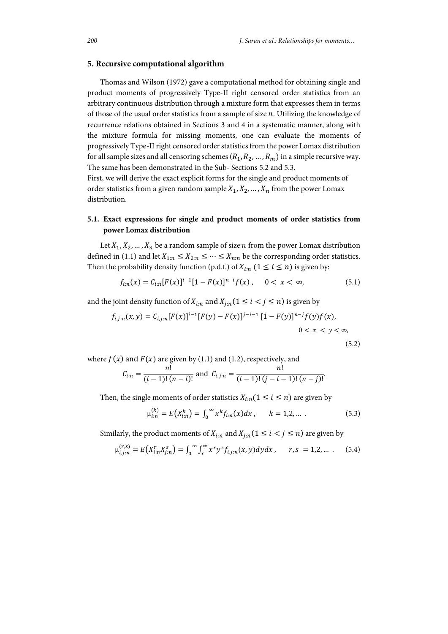#### **5. Recursive computational algorithm**

Thomas and Wilson (1972) gave a computational method for obtaining single and product moments of progressively Type-II right censored order statistics from an arbitrary continuous distribution through a mixture form that expresses them in terms of those of the usual order statistics from a sample of size  $n$ . Utilizing the knowledge of recurrence relations obtained in Sections 3 and 4 in a systematic manner, along with the mixture formula for missing moments, one can evaluate the moments of progressively Type-II right censored order statistics from the power Lomax distribution for all sample sizes and all censoring schemes  $(R_1, R_2, ..., R_m)$  in a simple recursive way. The same has been demonstrated in the Sub- Sections 5.2 and 5.3.

First, we will derive the exact explicit forms for the single and product moments of order statistics from a given random sample  $X_1, X_2, \ldots, X_n$  from the power Lomax distribution.

## **5.1. Exact expressions for single and product moments of order statistics from power Lomax distribution**

Let  $X_1, X_2, ..., X_n$  be a random sample of size *n* from the power Lomax distribution defined in (1.1) and let  $X_{1:n} \leq X_{2:n} \leq \cdots \leq X_{n:n}$  be the corresponding order statistics. Then the probability density function (p.d.f.) of  $X_{i:n}$  ( $1 \le i \le n$ ) is given by:

$$
f_{i:n}(x) = C_{i:n}[F(x)]^{i-1}[1 - F(x)]^{n-i}f(x), \quad 0 < x < \infty,\tag{5.1}
$$

and the joint density function of  $X_{i:n}$  and  $X_{i:n}$  ( $1 \le i \le j \le n$ ) is given by

$$
f_{i,j:n}(x,y) = C_{i,j:n}[F(x)]^{i-1}[F(y) - F(x)]^{j-i-1}[1 - F(y)]^{n-j}f(y)f(x),
$$
  
0 < x < y < \infty, (5.2)

where  $f(x)$  and  $F(x)$  are given by (1.1) and (1.2), respectively, and

$$
C_{i:n} = \frac{n!}{(i-1)!(n-i)!}
$$
 and 
$$
C_{i,j:n} = \frac{n!}{(i-1)!(j-i-1)!(n-j)!}
$$

Then, the single moments of order statistics  $X_{i:n}$  ( $1 \leq i \leq n$ ) are given by

$$
\mu_{i:n}^{(k)} = E(X_{i:n}^k) = \int_0^\infty x^k f_{i:n}(x) dx, \qquad k = 1, 2, \dots \, . \tag{5.3}
$$

.

Similarly, the product moments of  $X_{i:n}$  and  $X_{i:n}$  ( $1 \leq i \leq j \leq n$ ) are given by

$$
\mu_{i,j;n}^{(r,s)} = E(X_{i;n}^r X_{j;n}^s) = \int_0^\infty \int_x^\infty x^r y^s f_{i,j;n}(x,y) dy dx , \quad r,s = 1,2,... . \quad (5.4)
$$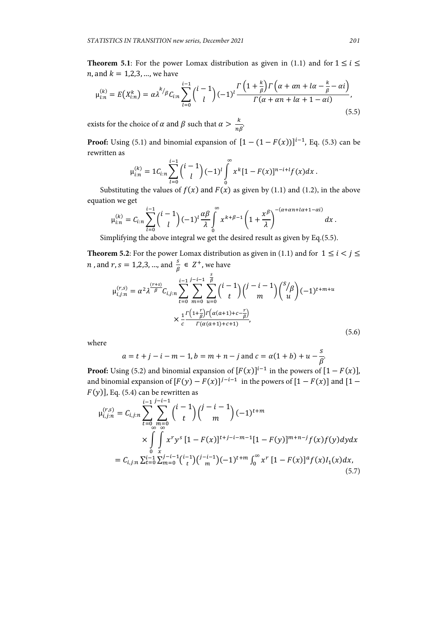**Theorem 5.1**: For the power Lomax distribution as given in (1.1) and for  $1 \le i \le$ *n*, and  $k = 1,2,3, ...$ , we have

$$
\mu_{i:n}^{(k)} = E(X_{i:n}^k) = \alpha \lambda^{k/p} C_{i:n} \sum_{l=0}^{i-1} {i-1 \choose l} (-1)^l \frac{\Gamma\left(1 + \frac{k}{\beta}\right) \Gamma\left(\alpha + \alpha n + l\alpha - \frac{k}{\beta} - \alpha i\right)}{\Gamma(\alpha + \alpha n + l\alpha + 1 - \alpha i)},\tag{5.5}
$$

exists for the choice of  $\alpha$  and  $\beta$  such that  $\alpha > \frac{k}{n\beta}$ .

**Proof:** Using (5.1) and binomial expansion of  $[1 - (1 - F(x))]^{i-1}$ , Eq. (5.3) can be rewritten as

$$
\mu_{i:n}^{(k)} = 1 C_{i:n} \sum_{l=0}^{i-1} {i-1 \choose l} (-1)^l \int_0^{\infty} x^k [1 - F(x)]^{n-i+l} f(x) dx.
$$

Substituting the values of  $f(x)$  and  $F(x)$  as given by (1.1) and (1.2), in the above equation we get

$$
\mu_{i:n}^{(k)}=C_{i:n}\sum_{l=0}^{i-1}\binom{i-1}{l}(-1)^l\frac{\alpha\beta}{\lambda}\int\limits_{0}^{\infty}x^{k+\beta-1}\left(1+\frac{x^{\beta}}{\lambda}\right)^{-(\alpha+\alpha n+l\alpha+1-\alpha i)}dx.
$$

Simplifying the above integral we get the desired result as given by Eq.(5.5).

**Theorem 5.2**: For the power Lomax distribution as given in (1.1) and for  $1 \le i \le j \le n$ *n* , and *r*, *s* = 1,2,3, ..., and  $\frac{s}{\beta} \in Z^+$ , we have

$$
\mu_{i,j;n}^{(r,s)} = \alpha^2 \lambda^{\frac{(r+s)}{\beta}} C_{i,j;n} \sum_{t=0}^{i-1} \sum_{m=0}^{j-i-1} \sum_{u=0}^{\frac{s}{\beta}} {i-1 \choose t} {j-i-1 \choose m} {s/p \choose u} (-1)^{t+m+u}
$$

$$
\times \frac{1}{c} \frac{r(1+\frac{r}{\beta})r(\alpha(a+1)+c-\frac{r}{\beta})}{r(\alpha(a+1)+c+1)},
$$
(5.6)

where

$$
a = t + j - i - m - 1
$$
,  $b = m + n - j$  and  $c = \alpha(1 + b) + u - \frac{s}{\beta}$ 

**Proof:** Using (5.2) and binomial expansion of  $[F(x)]^{i-1}$  in the powers of  $[1 - F(x)]$ , and binomial expansion of  $[F(y) - F(x)]^{j-i-1}$  in the powers of  $[1 - F(x)]$  and  $[1 F(y)$ ], Eq. (5.4) can be rewritten as

$$
\mu_{i,j;n}^{(r,s)} = C_{i,j;n} \sum_{t=0}^{i-1} \sum_{m=0}^{j-i-1} {i-1 \choose t} {j-i-1 \choose m} (-1)^{t+m}
$$
  
\n
$$
\times \int_{0}^{\infty} \int_{x}^{\infty} x^{r} y^{s} [1 - F(x)]^{t+j-i-m-1} [1 - F(y)]^{m+n-j} f(x) f(y) dy dx
$$
  
\n
$$
= C_{i,j;n} \sum_{t=0}^{i-1} \sum_{m=0}^{j-i-1} {i-1 \choose t} {j-i-1 \choose m} (-1)^{t+m} \int_{0}^{\infty} x^{r} [1 - F(x)]^{a} f(x) I_{1}(x) dx,
$$
\n(5.7)

.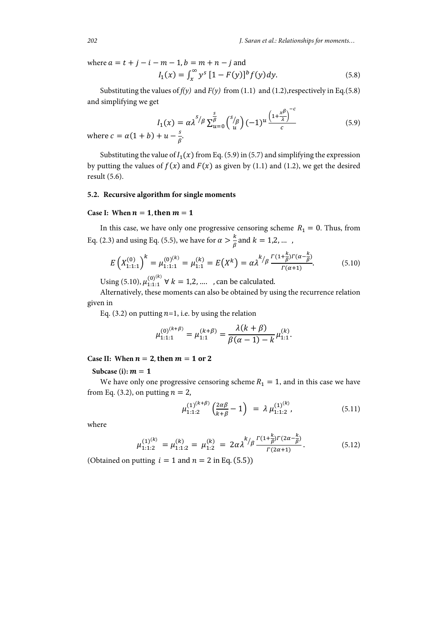*202 J. Saran et al.: Relationships for moments…*

where  $a = t + j - i - m - 1$ ,  $b = m + n - j$  and  $I_1(x) = \int_x^{\infty} y^s [1 - F(y)]^b f(y) dy.$  (5.8)

Substituting the values of  $f(y)$  and  $F(y)$  from (1.1) and (1.2), respectively in Eq.(5.8) and simplifying we get

$$
I_1(x) = \alpha \lambda^{s/\beta} \sum_{u=0}^s {s/\beta \choose u} (-1)^u \frac{\left(1 + \frac{x^{\beta}}{\lambda}\right)^{-c}}{c}
$$
  
(5.9)

where  $c = \alpha(1 + b)$  $\frac{5}{\beta}$ 

Substituting the value of  $I_1(x)$  from Eq. (5.9) in (5.7) and simplifying the expression by putting the values of  $f(x)$  and  $F(x)$  as given by (1.1) and (1.2), we get the desired result (5.6).

## **5.2. Recursive algorithm for single moments**

#### Case I: When  $n = 1$ , then  $m = 1$

In this case, we have only one progressive censoring scheme  $R_1 = 0$ . Thus, from Eq. (2.3) and using Eq. (5.5), we have for  $\alpha > \frac{k}{\beta}$  and  $k = 1, 2, ...$ 

$$
E\left(X_{1:1:1}^{(0)}\right)^k = \mu_{1:1:1}^{(0)^{(k)}} = \mu_{1:1}^{(k)} = E\left(X^k\right) = \alpha \lambda^{k/2} \frac{\Gamma(1 + \frac{k}{\beta})\Gamma(\alpha - \frac{k}{\beta})}{\Gamma(\alpha + 1)}.
$$
(5.10)

Using (5.10),  $\mu_{1:1:1}^{(0)^{(k)}} \forall k = 1,2,...$ , can be calculated.

Alternatively, these moments can also be obtained by using the recurrence relation given in

Eq. (3.2) on putting  $n=1$ , i.e. by using the relation

$$
\mu_{1:1:1}^{(0)^{(k+\beta)}} = \mu_{1:1}^{(k+\beta)} = \frac{\lambda(k+\beta)}{\beta(\alpha-1) - k} \mu_{1:1}^{(k)}.
$$

#### Case II: When  $n = 2$ , then  $m = 1$  or 2

Subcase (i):  $m = 1$ 

We have only one progressive censoring scheme  $R_1 = 1$ , and in this case we have from Eq. (3.2), on putting  $n = 2$ ,

$$
\mu_{1:1:2}^{(1)^{(k+\beta)}}\left(\frac{2\alpha\beta}{k+\beta}-1\right) = \lambda \mu_{1:1:2}^{(1)^{(k)}},\tag{5.11}
$$

where

$$
\mu_{1:1:2}^{(1)^{(k)}} = \mu_{1:1:2}^{(k)} = \mu_{1:2}^{(k)} = 2\alpha \lambda^{k/2} \frac{r(1+\frac{k}{\beta})r(2\alpha-\frac{k}{\beta})}{r(2\alpha+1)}.
$$
\n(5.12)

(Obtained on putting  $i = 1$  and  $n = 2$  in Eq. (5.5))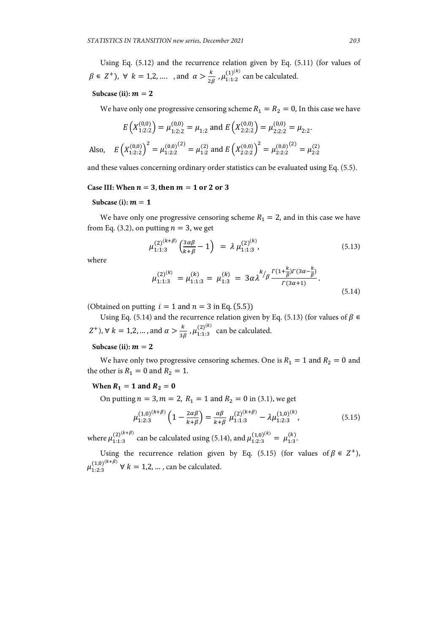Using Eq. (5.12) and the recurrence relation given by Eq. (5.11) (for values of  $\beta \in \mathbb{Z}^+$ ),  $\forall k = 1, 2, \dots$ , and  $\alpha > \frac{k}{2\beta}$ ,  $\mu_{1:1:2}^{(1)^{(k)}}$  can be calculated.

#### Subcase (ii):  $m = 2$

We have only one progressive censoring scheme  $R_1 = R_2 = 0$ , In this case we have

$$
E\left(X_{1:2:2}^{(0,0)}\right) = \mu_{1:2:2}^{(0,0)} = \mu_{1:2} \text{ and } E\left(X_{2:2:2}^{(0,0)}\right) = \mu_{2:2:2}^{(0,0)} = \mu_{2:2}.
$$
  
Also, 
$$
E\left(X_{1:2:2}^{(0,0)}\right)^2 = \mu_{1:2:2}^{(0,0)} = \mu_{1:2}^{(2)} \text{ and } E\left(X_{2:2:2}^{(0,0)}\right)^2 = \mu_{2:2:2}^{(0,0)} = \mu_{2:2}^{(2)}
$$

and these values concerning ordinary order statistics can be evaluated using Eq. (5.5).

#### Case III: When  $n = 3$ , then  $m = 1$  or 2 or 3

Subcase (i):  $m = 1$ 

We have only one progressive censoring scheme  $R_1 = 2$ , and in this case we have from Eq. (3.2), on putting  $n = 3$ , we get

$$
\mu_{1:1:3}^{(2)^{(k+\beta)}}\left(\frac{3\alpha\beta}{k+\beta}-1\right) = \lambda \mu_{1:1:3}^{(2)^{(k)}},\tag{5.13}
$$

where

$$
\mu_{1:1:3}^{(2)^{(k)}} = \mu_{1:1:3}^{(k)} = \mu_{1:3}^{(k)} = 3\alpha \lambda^{k/2} \frac{\Gamma(1+\frac{k}{\beta})\Gamma(3\alpha-\frac{k}{\beta})}{\Gamma(3\alpha+1)}.
$$
\n(5.14)

(Obtained on putting  $i = 1$  and  $n = 3$  in Eq. (5.5))

Using Eq. (5.14) and the recurrence relation given by Eq. (5.13) (for values of  $\beta \in$  $(Z^+)$ ,  $\forall k = 1,2,...$ , and  $\alpha > \frac{k}{3\beta}$ ,  $\mu_{1:1:3}^{(2)^{(k)}}$  can be calculated.

Subcase (ii):  $m = 2$ 

We have only two progressive censoring schemes. One is  $R_1 = 1$  and  $R_2 = 0$  and the other is  $R_1 = 0$  and  $R_2 = 1$ .

#### **When**  $R_1 = 1$  **and**  $R_2 = 0$

On putting  $n = 3, m = 2, R_1 = 1$  and  $R_2 = 0$  in (3.1), we get

$$
\mu_{1:2:3}^{(1,0)^{(k+\beta)}} \left(1 - \frac{2\alpha\beta}{k+\beta}\right) = \frac{\alpha\beta}{k+\beta} \mu_{1:1:3}^{(2)^{(k+\beta)}} - \lambda \mu_{1:2:3}^{(1,0)^{(k)}},\tag{5.15}
$$

where  $\mu_{1:1:3}^{(2)^{(k+\beta)}}$  can be calculated using (5.14), and  $\mu_{1:2:3}^{(1,0)^{(k)}} = \mu_{1:3}^{(k)}$ .

Using the recurrence relation given by Eq. (5.15) (for values of  $\beta \in Z^+$ ),  $\mu_{1:2:3}^{(1,0)^{(k+\beta)}} \forall k = 1,2,...$ , can be calculated.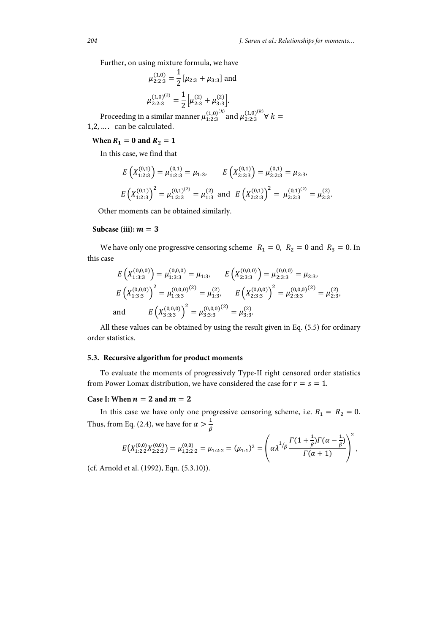Further, on using mixture formula, we have

$$
\mu_{2:2:3}^{(1,0)} = \frac{1}{2} [\mu_{2:3} + \mu_{3:3}] \text{ and}
$$

$$
\mu_{2:2:3}^{(1,0)^{(2)}} = \frac{1}{2} [\mu_{2:3}^{(2)} + \mu_{3:3}^{(2)}].
$$
edge in a similar manner  $\mu_{3:3}^{(1,0)^{(k)}}$  and  $\mu_{3:3}^{(1,0)}$ .

Proceeding in  $\mu_{1:2:3}^{(1,0)^{(k)}}$  and  $\mu_{2:2:3}^{(1,0)^{(k)}}$   $\forall$   $k =$ 1,2, … . can be calculated.

#### **When**  $R_1 = 0$  **and**  $R_2 = 1$

In this case, we find that

$$
E\left(X_{1:2:3}^{(0,1)}\right) = \mu_{1:2:3}^{(0,1)} = \mu_{1:3}, \qquad E\left(X_{2:2:3}^{(0,1)}\right) = \mu_{2:2:3}^{(0,1)} = \mu_{2:3},
$$
  

$$
E\left(X_{1:2:3}^{(0,1)}\right)^2 = \mu_{1:2:3}^{(0,1)(2)} = \mu_{1:3}^{(2)} \text{ and } E\left(X_{2:2:3}^{(0,1)}\right)^2 = \mu_{2:2:3}^{(0,1)(2)} = \mu_{2:3}^{(2)}.
$$

Other moments can be obtained similarly.

#### Subcase (iii):  $m = 3$

We have only one progressive censoring scheme  $R_1 = 0$ ,  $R_2 = 0$  and  $R_3 = 0$ . In this case

$$
E\left(X_{1:3:3}^{(0,0,0)}\right) = \mu_{1:3:3}^{(0,0,0)} = \mu_{1:3}, \qquad E\left(X_{2:3:3}^{(0,0,0)}\right) = \mu_{2:3:3}^{(0,0,0)} = \mu_{2:3},
$$
\n
$$
E\left(X_{1:3:3}^{(0,0,0)}\right)^2 = \mu_{1:3:3}^{(0,0,0)} = \mu_{1:3}^{(2)}, \qquad E\left(X_{2:3:3}^{(0,0,0)}\right)^2 = \mu_{2:3:3}^{(0,0,0)} = \mu_{2:3}^{(2)},
$$
\nand\n
$$
E\left(X_{3:3:3}^{(0,0,0)}\right)^2 = \mu_{3:3:3}^{(0,0,0)} = \mu_{3:3}^{(2)}.
$$

All these values can be obtained by using the result given in Eq. (5.5) for ordinary order statistics.

#### **5.3. Recursive algorithm for product moments**

To evaluate the moments of progressively Type-II right censored order statistics from Power Lomax distribution, we have considered the case for  $r = s = 1$ .

#### **Case I:** When  $n = 2$  and  $m = 2$

In this case we have only one progressive censoring scheme, i.e.  $R_1 = R_2 = 0$ . Thus, from Eq. (2.4), we have for  $\alpha > \frac{1}{\beta}$ 

$$
E\big(X_{1:2:2}^{(0,0)}X_{2:2:2}^{(0,0)}\big)=\mu_{1,2:2:2}^{(0,0)}=\mu_{1:2:2}=(\mu_{1:1})^2=\left(\alpha\lambda^{1/\beta}\frac{\Gamma(1+\frac{1}{\beta})\Gamma(\alpha-\frac{1}{\beta})}{\Gamma(\alpha+1)}\right)^2,
$$

(cf. Arnold et al. (1992), Eqn. (5.3.10)).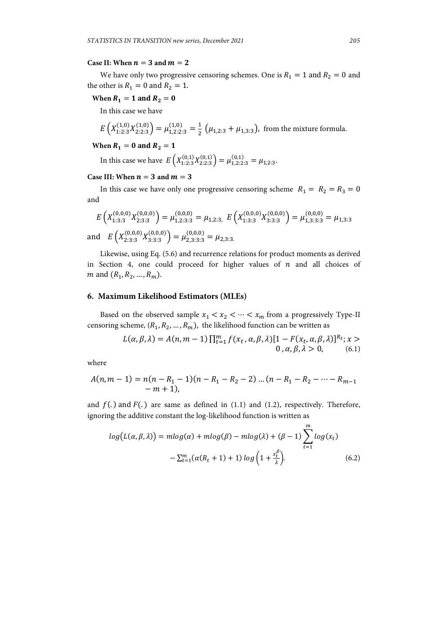#### **Case II:** When  $n = 3$  and  $m = 2$

We have only two progressive censoring schemes. One is  $R_1 = 1$  and  $R_2 = 0$  and the other is  $R_1 = 0$  and  $R_2 = 1$ .

### **When**  $R_1 = 1$  **and**  $R_2 = 0$

In this case we have

$$
E\left(X_{1:2:3}^{(1,0)}X_{2:2:3}^{(1,0)}\right) = \mu_{1,2:2:3}^{(1,0)} = \frac{1}{2}\left(\mu_{1,2:3} + \mu_{1,3:3}\right)
$$
, from the mixture formula.

### **When**  $R_1 = 0$  **and**  $R_2 = 1$

In this case we have  $E\left(X_{1:2:3}^{(0,1)}X_{2:2:3}^{(0,1)}\right)=\mu_{1,2:2:3}^{(0,1)}=\mu_{1,2:3}.$ 

#### **Case III:** When  $n = 3$  and  $m = 3$

In this case we have only one progressive censoring scheme  $R_1 = R_2 = R_3 = 0$ and

$$
E\left(X_{1:3:3}^{(0,0,0)}X_{2:3:3}^{(0,0,0)}\right) = \mu_{1,2:3:3}^{(0,0,0)} = \mu_{1,2:3,} E\left(X_{1:3:3}^{(0,0,0)}X_{3:3:3}^{(0,0,0)}\right) = \mu_{1,3:3:3}^{(0,0,0)} = \mu_{1,3:3}
$$
  
and 
$$
E\left(X_{2:3:3}^{(0,0,0)}X_{3:3:3}^{(0,0,0)}\right) = \mu_{2,3:3:3}^{(0,0,0)} = \mu_{2,3:3.}
$$

Likewise, using Eq. (5.6) and recurrence relations for product moments as derived in Section 4, one could proceed for higher values of  $n$  and all choices of *m* and  $(R_1, R_2, ..., R_m)$ .

#### **6. Maximum Likelihood Estimators (MLEs)**

Based on the observed sample  $x_1 < x_2 < \cdots < x_m$  from a progressively Type-II censoring scheme,  $(R_1, R_2, ..., R_m)$ , the likelihood function can be written as

$$
L(\alpha, \beta, \lambda) = A(n, m - 1) \prod_{t=1}^{m} f(x_t, \alpha, \beta, \lambda) [1 - F(x_t, \alpha, \beta, \lambda)]^{R_t}; x > 0, \alpha, \beta, \lambda > 0,
$$
 (6.1)

where

$$
A(n, m-1) = n(n - R1 - 1)(n - R1 - R2 - 2) \dots (n - R1 - R2 - \dots - Rm-1 - m + 1),
$$

and  $f(.)$  and  $F(.)$  are same as defined in (1.1) and (1.2), respectively. Therefore, ignoring the additive constant the log-likelihood function is written as

$$
log(L(\alpha, \beta, \lambda)) = mlog(\alpha) + mlog(\beta) - mlog(\lambda) + (\beta - 1) \sum_{t=1}^{m} log(x_t)
$$

$$
- \sum_{t=1}^{m} (\alpha(R_t + 1) + 1) log\left(1 + \frac{x_t^{\beta}}{\lambda}\right).
$$
(6.2)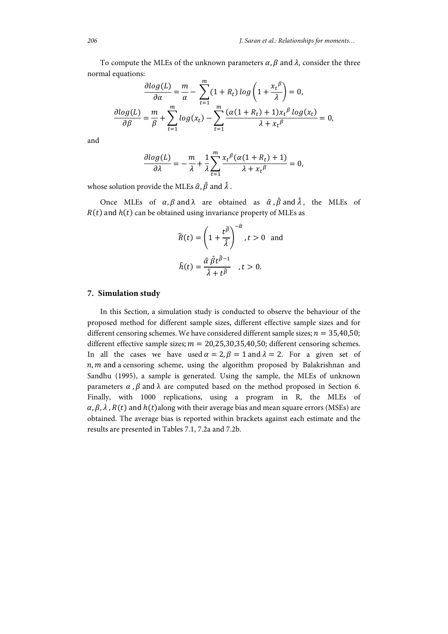To compute the MLEs of the unknown parameters  $\alpha$ ,  $\beta$  and  $\lambda$ , consider the three normal equations:

$$
\frac{\partial \log(L)}{\partial \alpha} = \frac{m}{\alpha} - \sum_{t=1}^{m} (1 + R_t) \log\left(1 + \frac{x_t^{\beta}}{\lambda}\right) = 0,
$$
  

$$
\frac{\partial \log(L)}{\partial \beta} = \frac{m}{\beta} + \sum_{t=1}^{m} \log(x_t) - \sum_{t=1}^{m} \frac{(\alpha(1 + R_t) + 1)x_t^{\beta} \log(x_t)}{\lambda + x_t^{\beta}} = 0,
$$

and

$$
\frac{\partial \log(L)}{\partial \lambda} = -\frac{m}{\lambda} + \frac{1}{\lambda} \sum_{t=1}^{m} \frac{x_t^{\beta} (\alpha (1 + R_t) + 1)}{\lambda + x_t^{\beta}} = 0,
$$

whose solution provide the MLEs  $\hat{\alpha}$ ,  $\hat{\beta}$  and  $\hat{\lambda}$ .

Once MLEs of  $\alpha$ ,  $\beta$  and  $\lambda$  are obtained as  $\hat{\alpha}$ ,  $\hat{\beta}$  and  $\hat{\lambda}$ , the MLEs of  $R(t)$  and  $h(t)$  can be obtained using invariance property of MLEs as

$$
\widehat{R}(t) = \left(1 + \frac{t^{\widehat{\beta}}}{\widehat{\lambda}}\right)^{-\widehat{\alpha}}, t > 0 \text{ and}
$$

$$
\widehat{h}(t) = \frac{\widehat{\alpha} \widehat{\beta} t^{\widehat{\beta}-1}}{\widehat{\lambda} + t^{\widehat{\beta}}}, t > 0.
$$

#### **7. Simulation study**

In this Section, a simulation study is conducted to observe the behaviour of the proposed method for different sample sizes, different effective sample sizes and for different censoring schemes. We have considered different sample sizes;  $n = 35,40,50$ ; different effective sample sizes;  $m = 20.25, 30, 35, 40, 50$ ; different censoring schemes. In all the cases we have used  $\alpha = 2, \beta = 1$  and  $\lambda = 2$ . For a given set of  $n, m$  and a censoring scheme, using the algorithm proposed by Balakrishnan and Sandhu (1995), a sample is generated. Using the sample, the MLEs of unknown parameters  $\alpha$ ,  $\beta$  and  $\lambda$  are computed based on the method proposed in Section 6. Finally, with 1000 replications, using a program in R, the MLEs of  $\alpha$ ,  $\beta$ ,  $\lambda$ ,  $R(t)$  and  $h(t)$ along with their average bias and mean square errors (MSEs) are obtained. The average bias is reported within brackets against each estimate and the results are presented in Tables 7.1, 7.2a and 7.2b.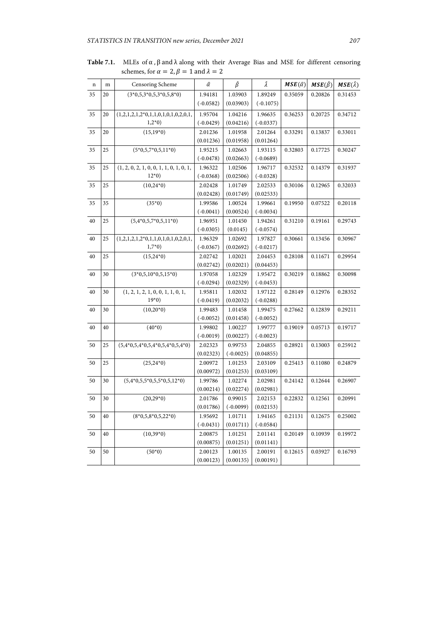| $\mathbf n$ | ${\rm m}$ | Censoring Scheme                          | $\hat{\alpha}$ | $\hat{\beta}$ | Â           | $MSE(\hat{\alpha})$ | $MSE(\hat{\beta})$ | $MSE(\hat{\lambda})$ |
|-------------|-----------|-------------------------------------------|----------------|---------------|-------------|---------------------|--------------------|----------------------|
| 35          | 20        | $(3*0,5,3*0,5,3*0,5,8*0)$                 | 1.94181        | 1.03903       | 1.89249     | 0.35059             | 0.20826            | 0.31453              |
|             |           |                                           | $(-0.0582)$    | (0.03903)     | $(-0.1075)$ |                     |                    |                      |
| 35          | 20        | $(1,2,1,2,1,2*0,1,1,0,1,0,1,0,2,0,1,$     | 1.95704        | 1.04216       | 1.96635     | 0.36253             | 0.20725            | 0.34712              |
|             |           | $1,2*0)$                                  | $(-0.0429)$    | (0.04216)     | $(-0.0337)$ |                     |                    |                      |
| 35          | 20        | $(15,19*0)$                               | 2.01236        | 1.01958       | 2.01264     | 0.33291             | 0.13837            | 0.33011              |
|             |           |                                           | (0.01236)      | (0.01958)     | (0.01264)   |                     |                    |                      |
| 35          | 25        | $(5*0,5,7*0,5,11*0)$                      | 1.95215        | 1.02663       | 1.93115     | 0.32803             | 0.17725            | 0.30247              |
|             |           |                                           | $(-0.0478)$    | (0.02663)     | $(-0.0689)$ |                     |                    |                      |
| 35          | 25        | $(1, 2, 0, 2, 1, 0, 0, 1, 1, 0, 1, 0, 1,$ | 1.96322        | 1.02506       | 1.96717     | 0.32532             | 0.14379            | 0.31937              |
|             |           | $12*0$                                    | $(-0.0368)$    | (0.02506)     | $(-0.0328)$ |                     |                    |                      |
| 35          | 25        | $(10,24*0)$                               | 2.02428        | 1.01749       | 2.02533     | 0.30106             | 0.12965            | 0.32033              |
|             |           |                                           | (0.02428)      | (0.01749)     | (0.02533)   |                     |                    |                      |
| 35          | 35        | $(35*0)$                                  | 1.99586        | 1.00524       | 1.99661     | 0.19950             | 0.07522            | 0.20118              |
|             |           |                                           | $(-0.0041)$    | (0.00524)     | $(-0.0034)$ |                     |                    |                      |
| 40          | 25        | $(5,4*0,5,7*0,5,11*0)$                    | 1.96951        | 1.01450       | 1.94261     | 0.31210             | 0.19161            | 0.29743              |
|             |           |                                           | $(-0.0305)$    | (0.0145)      | $(-0.0574)$ |                     |                    |                      |
| 40          | 25        | $(1,2,1,2,1,2*0,1,1,0,1,0,1,0,2,0,1,$     | 1.96329        | 1.02692       | 1.97827     | 0.30661             | 0.13456            | 0.30967              |
|             |           | $1,7*0)$                                  | $(-0.0367)$    | (0.02692)     | $(-0.0217)$ |                     |                    |                      |
| 40          | 25        | $(15,24*0)$                               | 2.02742        | 1.02021       | 2.04453     | 0.28108             | 0.11671            | 0.29954              |
|             |           |                                           | (0.02742)      | (0.02021)     | (0.04453)   |                     |                    |                      |
| 40          | 30        | $(3*0,5,10*0,5,15*0)$                     | 1.97058        | 1.02329       | 1.95472     | 0.30219             | 0.18862            | 0.30098              |
|             |           |                                           | $(-0.0294)$    | (0.02329)     | $(-0.0453)$ |                     |                    |                      |
| 40          | 30        | (1, 2, 1, 2, 1, 0, 0, 1, 1, 0, 1,         | 1.95811        | 1.02032       | 1.97122     | 0.28149             | 0.12976            | 0.28352              |
|             |           | $19*0$                                    | $(-0.0419)$    | (0.02032)     | $(-0.0288)$ |                     |                    |                      |
| 40          | 30        | $(10,20^{*}0)$                            | 1.99483        | 1.01458       | 1.99475     | 0.27662             | 0.12839            | 0.29211              |
|             |           |                                           | $(-0.0052)$    | (0.01458)     | $(-0.0052)$ |                     |                    |                      |
| 40          | 40        | $(40*0)$                                  | 1.99802        | 1.00227       | 1.99777     | 0.19019             | 0.05713            | 0.19717              |
|             |           |                                           | $(-0.0019)$    | (0.00227)     | $(-0.0023)$ |                     |                    |                      |
| 50          | 25        | $(5,4*0,5,4*0,5,4*0,5,4*0,5,4*0)$         | 2.02323        | 0.99753       | 2.04855     | 0.28921             | 0.13003            | 0.25912              |
|             |           |                                           | (0.02323)      | $(-0.0025)$   | (0.04855)   |                     |                    |                      |
| 50          | 25        | $(25,24*0)$                               | 2.00972        | 1.01253       | 2.03109     | 0.25413             | 0.11080            | 0.24879              |
|             |           |                                           | (0.00972)      | (0.01253)     | (0.03109)   |                     |                    |                      |
| 50          | 30        | $(5,4*0,5,5*0,5,5*0,5,12*0)$              | 1.99786        | 1.02274       | 2.02981     | 0.24142             | 0.12644            | 0.26907              |
|             |           |                                           | (0.00214)      | (0.02274)     | (0.02981)   |                     |                    |                      |
| 50          | 30        | $(20,29*0)$                               | 2.01786        | 0.99015       | 2.02153     | 0.22832             | 0.12561            | 0.20991              |
|             |           |                                           | (0.01786)      | $(-0.0099)$   | (0.02153)   |                     |                    |                      |
| 50          | 40        | $(8*0,5,8*0,5,22*0)$                      | 1.95692        | 1.01711       | 1.94165     | 0.21131             | 0.12675            | 0.25002              |
|             |           |                                           | $(-0.0431)$    | (0.01711)     | $(-0.0584)$ |                     |                    |                      |
| 50          | 40        | $(10,39*0)$                               | 2.00875        | 1.01251       | 2.01141     | 0.20149             | 0.10939            | 0.19972              |
|             |           |                                           | (0.00875)      | (0.01251)     | (0.01141)   |                     |                    |                      |
| 50          | 50        | $(50*0)$                                  | 2.00123        | 1.00135       | 2.00191     | 0.12615             | 0.03927            | 0.16793              |
|             |           |                                           | (0.00123)      | (0.00135)     | (0.00191)   |                     |                    |                      |

**Table 7.1.** MLEs of α , β and λ along with their Average Bias and MSE for different censoring schemes, for  $\alpha = 2$ ,  $\beta = 1$  and  $\lambda = 2$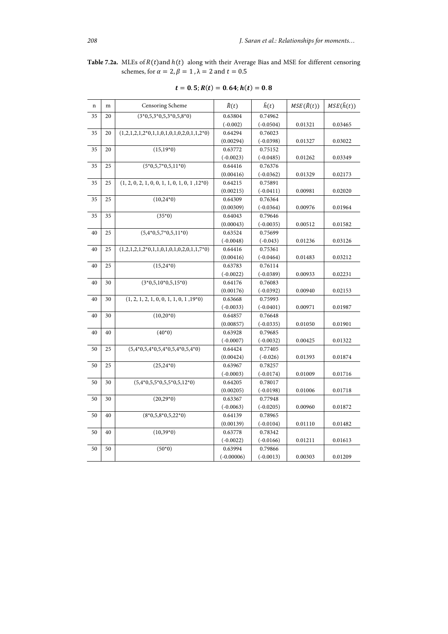Table 7.2a. MLEs of  $R(t)$  and  $h(t)$  along with their Average Bias and MSE for different censoring schemes, for  $\alpha = 2$ ,  $\beta = 1$ ,  $\lambda = 2$  and  $t = 0.5$ 

| $\mathbf n$ | m  | Censoring Scheme                                | $\widehat{R}(t)$ | $\hat{h}(t)$ | $MSE(\hat{R}(t))$ | $MSE(\hat{h}(t))$ |
|-------------|----|-------------------------------------------------|------------------|--------------|-------------------|-------------------|
| 35          | 20 | $(3*0,5,3*0,5,3*0,5,8*0)$                       | 0.63804          | 0.74962      |                   |                   |
|             |    |                                                 | $(-0.002)$       | $(-0.0504)$  | 0.01321           | 0.03465           |
| 35          | 20 | $(1,2,1,2,1,2*0,1,1,0,1,0,1,0,2,0,1,1,2*0)$     | 0.64294          | 0.76023      |                   |                   |
|             |    |                                                 | (0.00294)        | $(-0.0398)$  | 0.01327           | 0.03022           |
| 35          | 20 | $(15,19*0)$                                     | 0.63772          | 0.75152      |                   |                   |
|             |    |                                                 | $(-0.0023)$      | $(-0.0485)$  | 0.01262           | 0.03349           |
| 35          | 25 | $(5*0,5,7*0,5,11*0)$                            | 0.64416          | 0.76376      |                   |                   |
|             |    |                                                 | (0.00416)        | $(-0.0362)$  | 0.01329           | 0.02173           |
| 35          | 25 | $(1, 2, 0, 2, 1, 0, 0, 1, 1, 0, 1, 0, 1, 12*0)$ | 0.64215          | 0.75891      |                   |                   |
|             |    |                                                 | (0.00215)        | $(-0.0411)$  | 0.00981           | 0.02020           |
| 35          | 25 | $(10,24*0)$                                     | 0.64309          | 0.76364      |                   |                   |
|             |    |                                                 | (0.00309)        | $(-0.0364)$  | 0.00976           | 0.01964           |
| 35          | 35 | $(35*0)$                                        | 0.64043          | 0.79646      |                   |                   |
|             |    |                                                 | (0.00043)        | $(-0.0035)$  | 0.00512           | 0.01582           |
| 40          | 25 | $(5,4*0,5,7*0,5,11*0)$                          | 0.63524          | 0.75699      |                   |                   |
|             |    |                                                 | $(-0.0048)$      | $(-0.043)$   | 0.01236           | 0.03126           |
| 40          | 25 | $(1,2,1,2,1,2^*0,1,1,0,1,0,1,0,2,0,1,1,7^*0)$   | 0.64416          | 0.75361      |                   |                   |
|             |    |                                                 | (0.00416)        | $(-0.0464)$  | 0.01483           | 0.03212           |
| 40          | 25 | $(15,24*0)$                                     | 0.63783          | 0.76114      |                   |                   |
|             |    |                                                 | $(-0.0022)$      | $(-0.0389)$  | 0.00933           | 0.02231           |
| 40          | 30 | $(3*0,5,10*0,5,15*0)$                           | 0.64176          | 0.76083      |                   |                   |
|             |    |                                                 | (0.00176)        | $(-0.0392)$  | 0.00940           | 0.02153           |
| 40          | 30 | $(1, 2, 1, 2, 1, 0, 0, 1, 1, 0, 1, 19*0)$       | 0.63668          | 0.75993      |                   |                   |
|             |    |                                                 | $(-0.0033)$      | $(-0.0401)$  | 0.00971           | 0.01987           |
| 40          | 30 | $(10,20*0)$                                     | 0.64857          | 0.76648      |                   |                   |
|             |    |                                                 | (0.00857)        | $(-0.0335)$  | 0.01050           | 0.01901           |
| 40          | 40 | $(40*0)$                                        | 0.63928          | 0.79685      |                   |                   |
|             |    |                                                 | $(-0.0007)$      | $(-0.0032)$  | 0.00425           | 0.01322           |
| 50          | 25 | $(5,4*0,5,4*0,5,4*0,5,4*0,5,4*0)$               | 0.64424          | 0.77405      |                   |                   |
|             |    |                                                 | (0.00424)        | $(-0.026)$   | 0.01393           | 0.01874           |
| 50          | 25 | $(25,24*0)$                                     | 0.63967          | 0.78257      |                   |                   |
|             |    |                                                 | $(-0.0003)$      | $(-0.0174)$  | 0.01009           | 0.01716           |
| 50          | 30 | $(5,4*0,5,5*0,5,5*0,5,12*0)$                    | 0.64205          | 0.78017      |                   |                   |
|             |    |                                                 | (0.00205)        | $(-0.0198)$  | 0.01006           | 0.01718           |
| 50          | 30 | $(20, 29*0)$                                    | 0.63367          | 0.77948      |                   |                   |
|             |    |                                                 | $(-0.0063)$      | $(-0.0205)$  | 0.00960           | 0.01872           |
| 50          | 40 | $(8*0,5,8*0,5,22*0)$                            | 0.64139          | 0.78965      |                   |                   |
|             |    |                                                 | (0.00139)        | $(-0.0104)$  | 0.01110           | 0.01482           |
| 50          | 40 | $(10,39*0)$                                     | 0.63778          | 0.78342      |                   |                   |
|             |    |                                                 | $(-0.0022)$      | $(-0.0166)$  | 0.01211           | 0.01613           |
| 50          | 50 | $(50*0)$                                        | 0.63994          | 0.79866      |                   |                   |
|             |    |                                                 | $(-0.00006)$     | $(-0.0013)$  | 0.00303           | 0.01209           |

|  |  | $t = 0.5; R(t) = 0.64; h(t) = 0.8$ |  |  |  |  |  |
|--|--|------------------------------------|--|--|--|--|--|
|--|--|------------------------------------|--|--|--|--|--|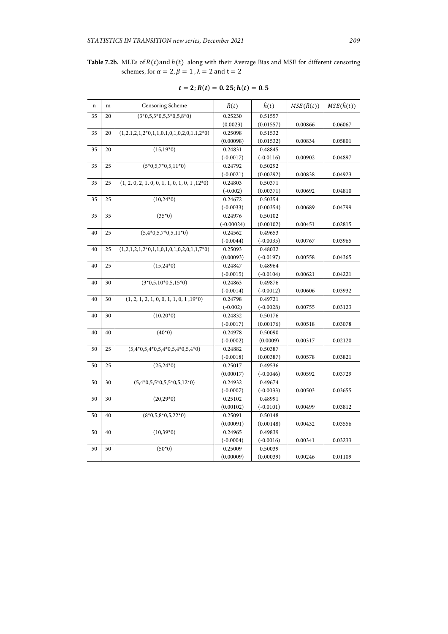## Table 7.2b. MLEs of  $R(t)$  and  $h(t)$  along with their Average Bias and MSE for different censoring schemes, for  $\alpha = 2$ ,  $\beta = 1$ ,  $\lambda = 2$  and  $t = 2$

| n  | m  | Censoring Scheme                                     | $\widehat{R}(t)$ | $\hat{h}(t)$ | $MSE(\hat{R}(t))$ | MSE(h(t)) |
|----|----|------------------------------------------------------|------------------|--------------|-------------------|-----------|
| 35 | 20 | $(3*0,5,3*0,5,3*0,5,8*0)$                            | 0.25230          | 0.51557      |                   |           |
|    |    |                                                      | (0.0023)         | (0.01557)    | 0.00866           | 0.06067   |
| 35 | 20 | $(1,2,1,2,1,2*0,1,1,0,1,0,1,0,2,0,1,1,2*0)$          | 0.25098          | 0.51532      |                   |           |
|    |    |                                                      | (0.00098)        | (0.01532)    | 0.00834           | 0.05801   |
| 35 | 20 | $(15,19*0)$                                          | 0.24831          | 0.48845      |                   |           |
|    |    |                                                      | $(-0.0017)$      | $(-0.0116)$  | 0.00902           | 0.04897   |
| 35 | 25 | $(5*0,5,7*0,5,11*0)$                                 | 0.24792          | 0.50292      |                   |           |
|    |    |                                                      | $(-0.0021)$      | (0.00292)    | 0.00838           | 0.04923   |
| 35 | 25 | $(1, 2, 0, 2, 1, 0, 0, 1, 1, 0, 1, 0, 1, 12*0)$      | 0.24803          | 0.50371      |                   |           |
|    |    |                                                      | $(-0.002)$       | (0.00371)    | 0.00692           | 0.04810   |
| 35 | 25 | $(10,24*0)$                                          | 0.24672          | 0.50354      |                   |           |
|    |    |                                                      | $(-0.0033)$      | (0.00354)    | 0.00689           | 0.04799   |
| 35 | 35 | $(35*0)$                                             | 0.24976          | 0.50102      |                   |           |
|    |    |                                                      | $(-0.00024)$     | (0.00102)    | 0.00451           | 0.02815   |
| 40 | 25 | $(5,4*0,5,7*0,5,11*0)$                               | 0.24562          | 0.49653      |                   |           |
|    |    |                                                      | $(-0.0044)$      | $(-0.0035)$  | 0.00767           | 0.03965   |
| 40 | 25 | $(1,2,1,2,1,2*0,1,1,0,1,0,1,0,2,0,1,1,7*0)$          | 0.25093          | 0.48032      |                   |           |
|    |    |                                                      | (0.00093)        | $(-0.0197)$  | 0.00558           | 0.04365   |
| 40 | 25 | $(15,24*0)$                                          | 0.24847          | 0.48964      |                   |           |
|    |    |                                                      | $(-0.0015)$      | $(-0.0104)$  | 0.00621           | 0.04221   |
| 40 | 30 | $(3*0,5,10*0,5,15*0)$                                | 0.24863          | 0.49876      |                   |           |
|    |    |                                                      | $(-0.0014)$      | $(-0.0012)$  | 0.00606           | 0.03932   |
| 40 | 30 | $(1, 2, 1, 2, 1, 0, 0, 1, 1, 0, 1, \overline{19*0)}$ | 0.24798          | 0.49721      |                   |           |
|    |    |                                                      | $(-0.002)$       | $(-0.0028)$  | 0.00755           | 0.03123   |
| 40 | 30 | $(10,20*0)$                                          | 0.24832          | 0.50176      |                   |           |
|    |    |                                                      | $(-0.0017)$      | (0.00176)    | 0.00518           | 0.03078   |
| 40 | 40 | $(40*0)$                                             | 0.24978          | 0.50090      |                   |           |
|    |    |                                                      | $(-0.0002)$      | (0.0009)     | 0.00317           | 0.02120   |
| 50 | 25 | $(5,4*0,5,4*0,5,4*0,5,4*0,5,4*0)$                    | 0.24882          | 0.50387      |                   |           |
|    |    |                                                      | $(-0.0018)$      | (0.00387)    | 0.00578           | 0.03821   |
| 50 | 25 | $(25,24*0)$                                          | 0.25017          | 0.49536      |                   |           |
|    |    |                                                      | (0.00017)        | $(-0.0046)$  | 0.00592           | 0.03729   |
| 50 | 30 | $(5,4*0,5,5*0,5,5*0,5,12*0)$                         | 0.24932          | 0.49674      |                   |           |
|    |    |                                                      | $(-0.0007)$      | $(-0.0033)$  | 0.00503           | 0.03655   |
| 50 | 30 | $(20, 29*0)$                                         | 0.25102          | 0.48991      |                   |           |
|    |    |                                                      | (0.00102)        | $(-0.0101)$  | 0.00499           | 0.03812   |
| 50 | 40 | $(8*0,5,8*0,5,22*0)$                                 | 0.25091          | 0.50148      |                   |           |
|    |    |                                                      | (0.00091)        | (0.00148)    | 0.00432           | 0.03556   |
| 50 | 40 | $(10,39*0)$                                          | 0.24965          | 0.49839      |                   |           |
|    |    |                                                      | $(-0.0004)$      | $(-0.0016)$  | 0.00341           | 0.03233   |
| 50 | 50 | $(50*0)$                                             | 0.25009          | 0.50039      |                   |           |
|    |    |                                                      | (0.00009)        | (0.00039)    | 0.00246           | 0.01109   |

|  | $t = 2; R(t) = 0.25; h(t) = 0.5$ |  |
|--|----------------------------------|--|
|--|----------------------------------|--|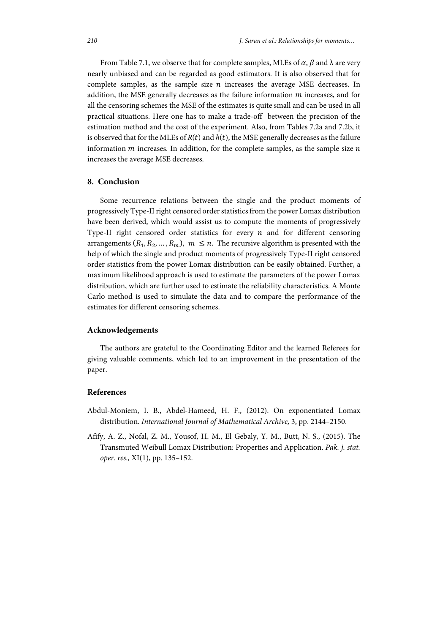From Table 7.1, we observe that for complete samples, MLEs of  $\alpha$ ,  $\beta$  and  $\lambda$  are very nearly unbiased and can be regarded as good estimators. It is also observed that for complete samples, as the sample size  $n$  increases the average MSE decreases. In addition, the MSE generally decreases as the failure information  $m$  increases, and for all the censoring schemes the MSE of the estimates is quite small and can be used in all practical situations. Here one has to make a trade-off between the precision of the estimation method and the cost of the experiment. Also, from Tables 7.2a and 7.2b, it is observed that for the MLEs of  $R(t)$  and  $h(t)$ , the MSE generally decreases as the failure information  $m$  increases. In addition, for the complete samples, as the sample size  $n$ increases the average MSE decreases.

#### **8. Conclusion**

Some recurrence relations between the single and the product moments of progressively Type-II right censored order statistics from the power Lomax distribution have been derived, which would assist us to compute the moments of progressively Type-II right censored order statistics for every  $n$  and for different censoring arrangements  $(R_1, R_2, ..., R_m)$ ,  $m \leq n$ . The recursive algorithm is presented with the help of which the single and product moments of progressively Type-II right censored order statistics from the power Lomax distribution can be easily obtained. Further, a maximum likelihood approach is used to estimate the parameters of the power Lomax distribution, which are further used to estimate the reliability characteristics. A Monte Carlo method is used to simulate the data and to compare the performance of the estimates for different censoring schemes.

## **Acknowledgements**

The authors are grateful to the Coordinating Editor and the learned Referees for giving valuable comments, which led to an improvement in the presentation of the paper.

### **References**

- Abdul-Moniem, I. B., Abdel-Hameed, H. F., (2012). On exponentiated Lomax distribution. *International Journal of Mathematical Archive,* 3, pp. 2144–2150.
- Afify, A. Z., Nofal, Z. M., Yousof, H. M., El Gebaly, Y. M., Butt, N. S., (2015). The Transmuted Weibull Lomax Distribution: Properties and Application. *Pak. j. stat. oper. res.,* XI(1), pp. 135–152.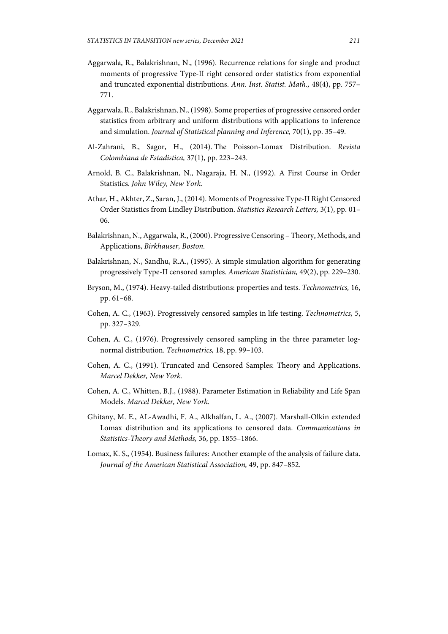- Aggarwala, R., Balakrishnan, N., (1996). Recurrence relations for single and product moments of progressive Type-II right censored order statistics from exponential and truncated exponential distributions. *Ann. Inst. Statist. Math.,* 48(4), pp. 757– 771.
- Aggarwala, R., Balakrishnan, N., (1998). Some properties of progressive censored order statistics from arbitrary and uniform distributions with applications to inference and simulation. *Journal of Statistical planning and Inference,* 70(1), pp. 35–49.
- Al-Zahrani, B., Sagor, H., (2014). The Poisson-Lomax Distribution. *Revista Colombiana de Estadistica,* 37(1), pp. 223–243.
- Arnold, B. C., Balakrishnan, N., Nagaraja, H. N., (1992). A First Course in Order Statistics. *John Wiley, New York.*
- Athar, H., Akhter, Z., Saran, J., (2014). Moments of Progressive Type-II Right Censored Order Statistics from Lindley Distribution. *Statistics Research Letters,* 3(1), pp. 01– 06.
- Balakrishnan, N., Aggarwala, R., (2000). Progressive Censoring Theory, Methods, and Applications, *Birkhauser, Boston.*
- Balakrishnan, N., Sandhu, R.A., (1995). A simple simulation algorithm for generating progressively Type-II censored samples. *American Statistician,* 49(2), pp. 229–230.
- Bryson, M., (1974). Heavy-tailed distributions: properties and tests. *Technometrics,* 16, pp. 61–68.
- Cohen, A. C., (1963). Progressively censored samples in life testing. *Technometrics,* 5, pp. 327–329.
- Cohen, A. C., (1976). Progressively censored sampling in the three parameter lognormal distribution. *Technometrics,* 18, pp. 99–103.
- Cohen, A. C., (1991). Truncated and Censored Samples: Theory and Applications. *Marcel Dekker, New York.*
- Cohen, A. C., Whitten, B.J., (1988). Parameter Estimation in Reliability and Life Span Models. *Marcel Dekker, New York.*
- Ghitany, M. E., AL-Awadhi, F. A., Alkhalfan, L. A., (2007). Marshall-Olkin extended Lomax distribution and its applications to censored data. *Communications in Statistics-Theory and Methods,* 36, pp. 1855–1866.
- Lomax, K. S., (1954). Business failures: Another example of the analysis of failure data. *Journal of the American Statistical Association,* 49, pp. 847–852.